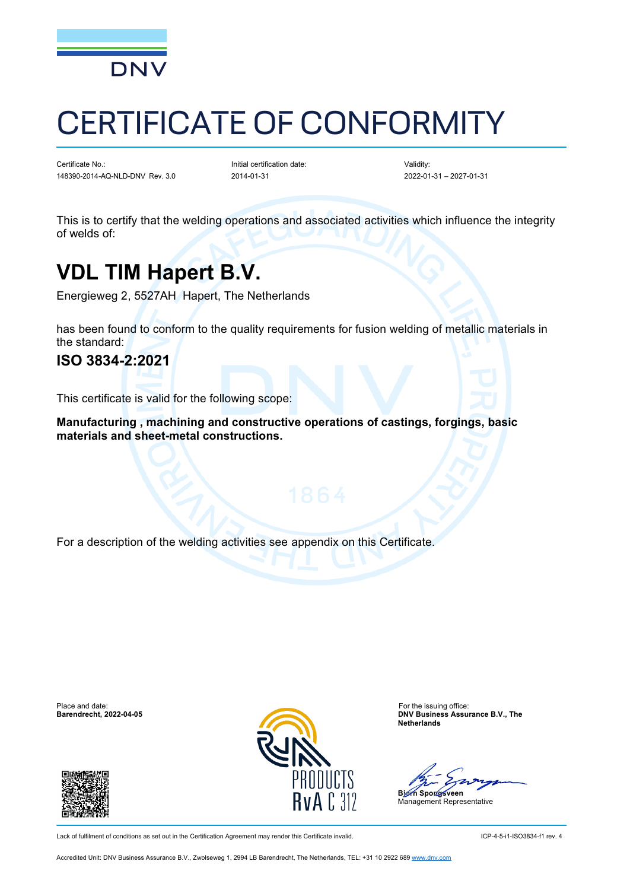

# CERTIFICATE OF CONFORMITY

Certificate No.: 148390-2014-AQ-NLD-DNV Rev. 3.0

Initial certification date: 2014-01-31

Validity: 2022-01-31 – 2027-01-31

This is to certify that the welding operations and associated activities which influence the integrity of welds of:

### **VDL TIM Hapert B.V.**

Energieweg 2, 5527AH Hapert, The Netherlands

has been found to conform to the quality requirements for fusion welding of metallic materials in the standard:

### **ISO 3834-2:2021**

This certificate is valid for the following scope:

**Manufacturing , machining and constructive operations of castings, forgings, basic materials and sheet-metal constructions.**

For a description of the welding activities see appendix on this Certificate.

Place and date: For the issuing office: For the issuing office: For the issuing office: For the issuing office:





**Barendrecht, 2022-04-05 DNV Business Assurance B.V., The Netherlands**

**Bjørn Spongsveen**

Management Representative

Lack of fulfilment of conditions as set out in the Certification Agreement may render this Certificate invalid. ICP-4-5-i1-ISO3834-f1 rev. 4

Accredited Unit: DNV Business Assurance B.V., Zwolseweg 1, 2994 LB Barendrecht, The Netherlands, TEL: +31 10 2922 689 [www.dnv.com](http://www.dnv.com/)